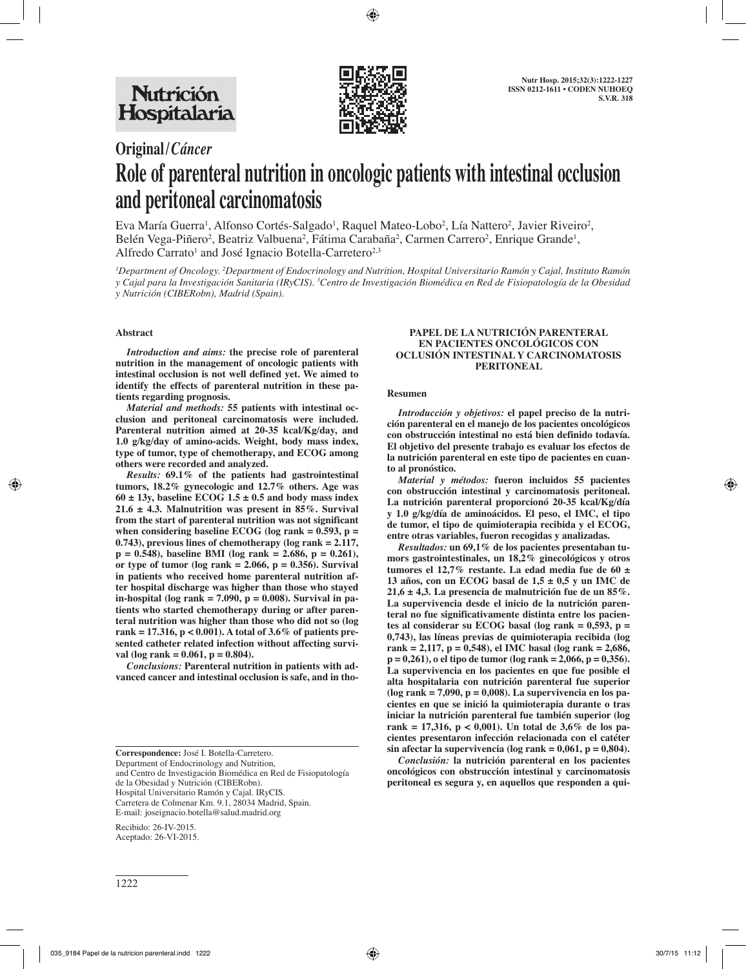

# **Original/***Cáncer*

# **Role of parenteral nutrition in oncologic patients with intestinal occlusion and peritoneal carcinomatosis**

Eva María Guerra<sup>1</sup>, Alfonso Cortés-Salgado<sup>1</sup>, Raquel Mateo-Lobo<sup>2</sup>, Lía Nattero<sup>2</sup>, Javier Riveiro<sup>2</sup>, Belén Vega-Piñero<sup>2</sup>, Beatriz Valbuena<sup>2</sup>, Fátima Carabaña<sup>2</sup>, Carmen Carrero<sup>2</sup>, Enrique Grande<sup>1</sup>, Alfredo Carrato<sup>1</sup> and José Ignacio Botella-Carretero<sup>2,3</sup>

*1 Department of Oncology. 2 Department of Endocrinology and Nutrition, Hospital Universitario Ramón y Cajal, Instituto Ramón*  y Cajal para la Investigación Sanitaria (IRyCIS). <sup>3</sup>Centro de Investigación Biomédica en Red de Fisiopatología de la Obesidad *y Nutrición (CIBERobn), Madrid (Spain).* 

# **Abstract**

*Introduction and aims:* **the precise role of parenteral nutrition in the management of oncologic patients with intestinal occlusion is not well defined yet. We aimed to identify the effects of parenteral nutrition in these patients regarding prognosis.**

*Material and methods:* **55 patients with intestinal occlusion and peritoneal carcinomatosis were included. Parenteral nutrition aimed at 20-35 kcal/Kg/day, and 1.0 g/kg/day of amino-acids. Weight, body mass index, type of tumor, type of chemotherapy, and ECOG among others were recorded and analyzed.** 

*Results:* **69.1% of the patients had gastrointestinal tumors, 18.2% gynecologic and 12.7% others. Age was**   $60 \pm 13$ y, baseline ECOG  $1.5 \pm 0.5$  and body mass index **21.6 ± 4.3. Malnutrition was present in 85%. Survival from the start of parenteral nutrition was not significant when considering baseline ECOG (log rank = 0.593, p = 0.743), previous lines of chemotherapy (log rank = 2.117, p = 0.548), baseline BMI (log rank = 2.686, p = 0.261), or type of tumor (log rank = 2.066, p = 0.356). Survival in patients who received home parenteral nutrition after hospital discharge was higher than those who stayed in-hospital (log rank = 7.090, p = 0.008). Survival in patients who started chemotherapy during or after parenteral nutrition was higher than those who did not so (log rank = 17.316, p < 0.001). A total of 3.6% of patients presented catheter related infection without affecting survival (log rank = 0.061, p = 0.804).**

*Conclusions:* **Parenteral nutrition in patients with advanced cancer and intestinal occlusion is safe, and in tho-**

**Correspondence:** José I. Botella-Carretero. Department of Endocrinology and Nutrition, and Centro de Investigación Biomédica en Red de Fisiopatología de la Obesidad y Nutrición (CIBERobn). Hospital Universitario Ramón y Cajal. IRyCIS. Carretera de Colmenar Km. 9.1, 28034 Madrid, Spain. E-mail: joseignacio.botella@salud.madrid.org

Recibido: 26-IV-2015. Aceptado: 26-VI-2015.

#### **PAPEL DE LA NUTRICIÓN PARENTERAL EN PACIENTES ONCOLÓGICOS CON OCLUSIÓN INTESTINAL Y CARCINOMATOSIS PERITONEAL**

#### **Resumen**

*Introducción y objetivos:* **el papel preciso de la nutrición parenteral en el manejo de los pacientes oncológicos con obstrucción intestinal no está bien definido todavía. El objetivo del presente trabajo es evaluar los efectos de la nutrición parenteral en este tipo de pacientes en cuanto al pronóstico.** 

*Material y métodos:* **fueron incluidos 55 pacientes con obstrucción intestinal y carcinomatosis peritoneal. La nutrición parenteral proporcionó 20-35 kcal/Kg/día y 1.0 g/kg/día de aminoácidos. El peso, el IMC, el tipo de tumor, el tipo de quimioterapia recibida y el ECOG, entre otras variables, fueron recogidas y analizadas.** 

*Resultados:* **un 69,1% de los pacientes presentaban tumors gastrointestinales, un 18,2% ginecológicos y otros tumores el 12,7% restante. La edad media fue de 60 ± 13 años, con un ECOG basal de 1,5 ± 0,5 y un IMC de 21,6 ± 4,3. La presencia de malnutrición fue de un 85%. La supervivencia desde el inicio de la nutrición parenteral no fue significativamente distinta entre los pacientes al considerar su ECOG basal (log rank = 0,593, p = 0,743), las líneas previas de quimioterapia recibida (log rank = 2,117, p = 0,548), el IMC basal (log rank = 2,686, p = 0,261), o el tipo de tumor (log rank = 2,066, p = 0,356). La supervivencia en los pacientes en que fue posible el alta hospitalaria con nutrición parenteral fue superior (log rank = 7,090, p = 0,008). La supervivencia en los pacientes en que se inició la quimioterapia durante o tras iniciar la nutrición parenteral fue también superior (log rank = 17,316, p < 0,001). Un total de 3,6% de los pacientes presentaron infección relacionada con el catéter**   $\sin$  afectar la supervivencia (log rank =  $0,061$ , p =  $0,804$ ).

*Conclusión:* **la nutrición parenteral en los pacientes oncológicos con obstrucción intestinal y carcinomatosis peritoneal es segura y, en aquellos que responden a qui-**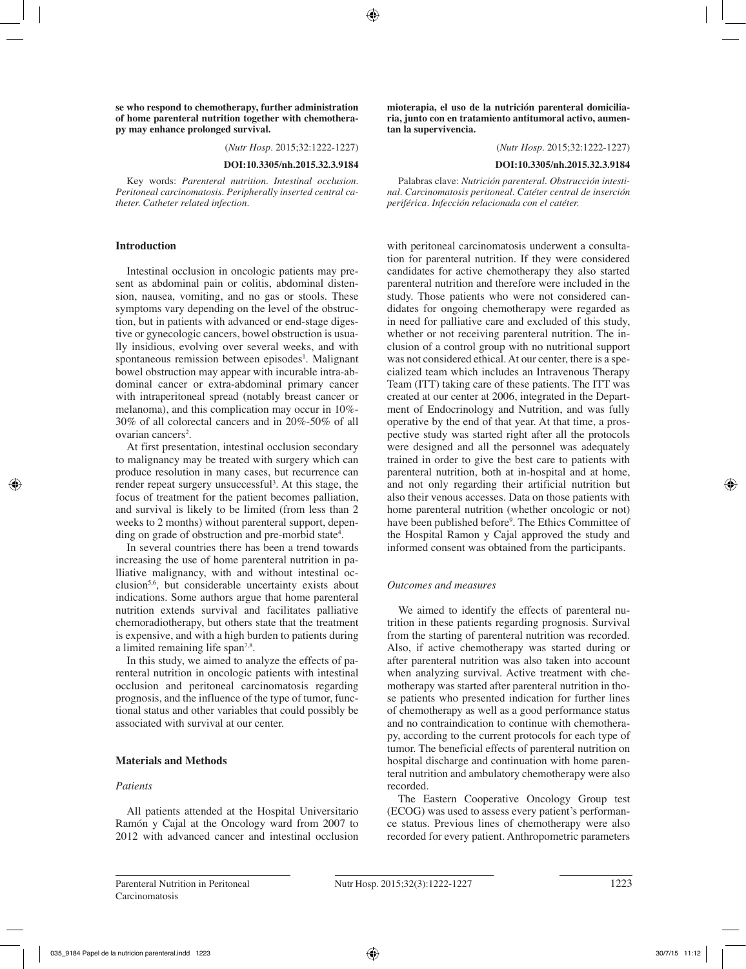**se who respond to chemotherapy, further administration of home parenteral nutrition together with chemotherapy may enhance prolonged survival.**

(*Nutr Hosp.* 2015;32:1222-1227)

**DOI:10.3305/nh.2015.32.3.9184**

Key words: *Parenteral nutrition. Intestinal occlusion. Peritoneal carcinomatosis. Peripherally inserted central catheter. Catheter related infection.*

#### **Introduction**

Intestinal occlusion in oncologic patients may present as abdominal pain or colitis, abdominal distension, nausea, vomiting, and no gas or stools. These symptoms vary depending on the level of the obstruction, but in patients with advanced or end-stage digestive or gynecologic cancers, bowel obstruction is usually insidious, evolving over several weeks, and with spontaneous remission between episodes<sup>1</sup>. Malignant bowel obstruction may appear with incurable intra-abdominal cancer or extra-abdominal primary cancer with intraperitoneal spread (notably breast cancer or melanoma), and this complication may occur in 10%- 30% of all colorectal cancers and in 20%-50% of all ovarian cancers<sup>2</sup>.

At first presentation, intestinal occlusion secondary to malignancy may be treated with surgery which can produce resolution in many cases, but recurrence can render repeat surgery unsuccessful<sup>3</sup>. At this stage, the focus of treatment for the patient becomes palliation, and survival is likely to be limited (from less than 2 weeks to 2 months) without parenteral support, depending on grade of obstruction and pre-morbid state<sup>4</sup>.

In several countries there has been a trend towards increasing the use of home parenteral nutrition in palliative malignancy, with and without intestinal occlusion5,6, but considerable uncertainty exists about indications. Some authors argue that home parenteral nutrition extends survival and facilitates palliative chemoradiotherapy, but others state that the treatment is expensive, and with a high burden to patients during a limited remaining life span7,8.

In this study, we aimed to analyze the effects of parenteral nutrition in oncologic patients with intestinal occlusion and peritoneal carcinomatosis regarding prognosis, and the influence of the type of tumor, functional status and other variables that could possibly be associated with survival at our center.

#### **Materials and Methods**

## *Patients*

All patients attended at the Hospital Universitario Ramón y Cajal at the Oncology ward from 2007 to 2012 with advanced cancer and intestinal occlusion **mioterapia, el uso de la nutrición parenteral domiciliaria, junto con en tratamiento antitumoral activo, aumentan la supervivencia.** 

(*Nutr Hosp.* 2015;32:1222-1227)

#### **DOI:10.3305/nh.2015.32.3.9184**

Palabras clave: *Nutrición parenteral. Obstrucción intestinal. Carcinomatosis peritoneal. Catéter central de inserción periférica. Infección relacionada con el catéter.*

with peritoneal carcinomatosis underwent a consultation for parenteral nutrition. If they were considered candidates for active chemotherapy they also started parenteral nutrition and therefore were included in the study. Those patients who were not considered candidates for ongoing chemotherapy were regarded as in need for palliative care and excluded of this study, whether or not receiving parenteral nutrition. The inclusion of a control group with no nutritional support was not considered ethical. At our center, there is a specialized team which includes an Intravenous Therapy Team (ITT) taking care of these patients. The ITT was created at our center at 2006, integrated in the Department of Endocrinology and Nutrition, and was fully operative by the end of that year. At that time, a prospective study was started right after all the protocols were designed and all the personnel was adequately trained in order to give the best care to patients with parenteral nutrition, both at in-hospital and at home, and not only regarding their artificial nutrition but also their venous accesses. Data on those patients with home parenteral nutrition (whether oncologic or not) have been published before<sup>9</sup>. The Ethics Committee of the Hospital Ramon y Cajal approved the study and informed consent was obtained from the participants.

#### *Outcomes and measures*

We aimed to identify the effects of parenteral nutrition in these patients regarding prognosis. Survival from the starting of parenteral nutrition was recorded. Also, if active chemotherapy was started during or after parenteral nutrition was also taken into account when analyzing survival. Active treatment with chemotherapy was started after parenteral nutrition in those patients who presented indication for further lines of chemotherapy as well as a good performance status and no contraindication to continue with chemotherapy, according to the current protocols for each type of tumor. The beneficial effects of parenteral nutrition on hospital discharge and continuation with home parenteral nutrition and ambulatory chemotherapy were also recorded.

The Eastern Cooperative Oncology Group test (ECOG) was used to assess every patient's performance status. Previous lines of chemotherapy were also recorded for every patient. Anthropometric parameters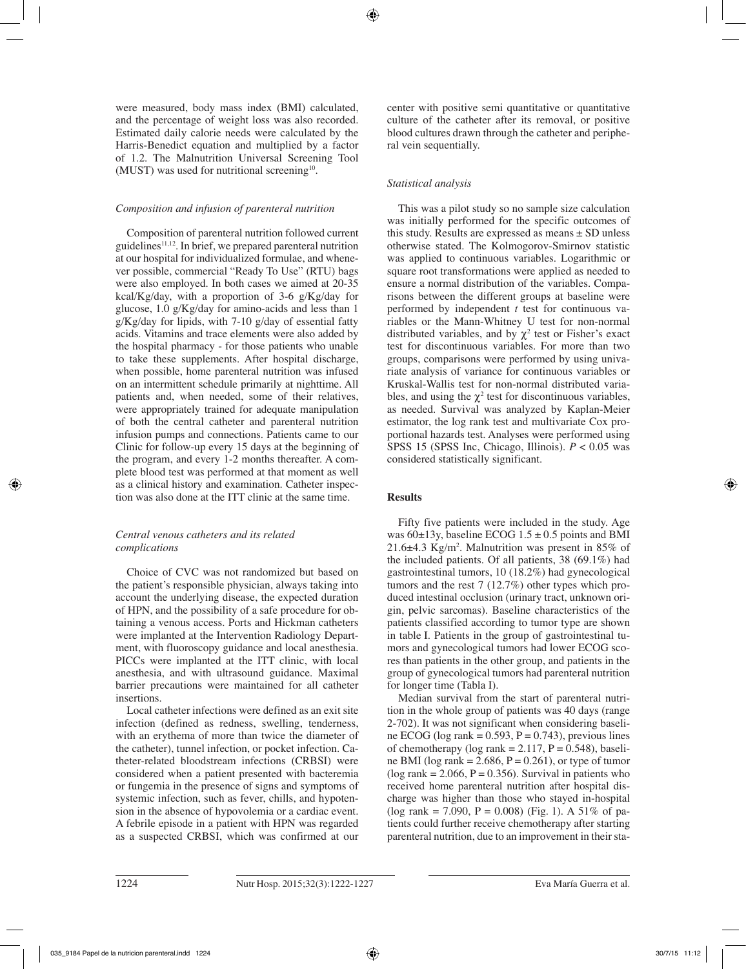were measured, body mass index (BMI) calculated, and the percentage of weight loss was also recorded. Estimated daily calorie needs were calculated by the Harris-Benedict equation and multiplied by a factor of 1.2. The Malnutrition Universal Screening Tool (MUST) was used for nutritional screening<sup>10</sup>.

# *Composition and infusion of parenteral nutrition*

Composition of parenteral nutrition followed current guidelines<sup>11,12</sup>. In brief, we prepared parenteral nutrition at our hospital for individualized formulae, and whenever possible, commercial "Ready To Use" (RTU) bags were also employed. In both cases we aimed at 20-35 kcal/Kg/day, with a proportion of 3-6 g/Kg/day for glucose, 1.0 g/Kg/day for amino-acids and less than 1 g/Kg/day for lipids, with 7-10 g/day of essential fatty acids. Vitamins and trace elements were also added by the hospital pharmacy - for those patients who unable to take these supplements. After hospital discharge, when possible, home parenteral nutrition was infused on an intermittent schedule primarily at nighttime. All patients and, when needed, some of their relatives, were appropriately trained for adequate manipulation of both the central catheter and parenteral nutrition infusion pumps and connections. Patients came to our Clinic for follow-up every 15 days at the beginning of the program, and every 1-2 months thereafter. A complete blood test was performed at that moment as well as a clinical history and examination. Catheter inspection was also done at the ITT clinic at the same time.

# *Central venous catheters and its related complications*

Choice of CVC was not randomized but based on the patient's responsible physician, always taking into account the underlying disease, the expected duration of HPN, and the possibility of a safe procedure for obtaining a venous access. Ports and Hickman catheters were implanted at the Intervention Radiology Department, with fluoroscopy guidance and local anesthesia. PICCs were implanted at the ITT clinic, with local anesthesia, and with ultrasound guidance. Maximal barrier precautions were maintained for all catheter insertions.

Local catheter infections were defined as an exit site infection (defined as redness, swelling, tenderness, with an erythema of more than twice the diameter of the catheter), tunnel infection, or pocket infection. Catheter-related bloodstream infections (CRBSI) were considered when a patient presented with bacteremia or fungemia in the presence of signs and symptoms of systemic infection, such as fever, chills, and hypotension in the absence of hypovolemia or a cardiac event. A febrile episode in a patient with HPN was regarded as a suspected CRBSI, which was confirmed at our center with positive semi quantitative or quantitative culture of the catheter after its removal, or positive blood cultures drawn through the catheter and peripheral vein sequentially.

# *Statistical analysis*

This was a pilot study so no sample size calculation was initially performed for the specific outcomes of this study. Results are expressed as means  $\pm$  SD unless otherwise stated. The Kolmogorov-Smirnov statistic was applied to continuous variables. Logarithmic or square root transformations were applied as needed to ensure a normal distribution of the variables. Comparisons between the different groups at baseline were performed by independent *t* test for continuous variables or the Mann-Whitney U test for non-normal distributed variables, and by  $\chi^2$  test or Fisher's exact test for discontinuous variables. For more than two groups, comparisons were performed by using univariate analysis of variance for continuous variables or Kruskal-Wallis test for non-normal distributed variables, and using the  $\chi^2$  test for discontinuous variables, as needed. Survival was analyzed by Kaplan-Meier estimator, the log rank test and multivariate Cox proportional hazards test. Analyses were performed using SPSS 15 (SPSS Inc, Chicago, Illinois).  $P < 0.05$  was considered statistically significant.

# **Results**

Fifty five patients were included in the study. Age was  $60\pm13y$ , baseline ECOG  $1.5\pm0.5$  points and BMI 21.6 $\pm$ 4.3 Kg/m<sup>2</sup>. Malnutrition was present in 85% of the included patients. Of all patients, 38 (69.1%) had gastrointestinal tumors, 10 (18.2%) had gynecological tumors and the rest 7 (12.7%) other types which produced intestinal occlusion (urinary tract, unknown origin, pelvic sarcomas). Baseline characteristics of the patients classified according to tumor type are shown in table I. Patients in the group of gastrointestinal tumors and gynecological tumors had lower ECOG scores than patients in the other group, and patients in the group of gynecological tumors had parenteral nutrition for longer time (Tabla I).

Median survival from the start of parenteral nutrition in the whole group of patients was 40 days (range 2-702). It was not significant when considering baseline ECOG (log rank =  $0.593$ , P =  $0.743$ ), previous lines of chemotherapy (log rank =  $2.117$ , P = 0.548), baseline BMI (log rank =  $2.686$ , P =  $0.261$ ), or type of tumor  $(\log \text{rank} = 2.066, P = 0.356)$ . Survival in patients who received home parenteral nutrition after hospital discharge was higher than those who stayed in-hospital (log rank = 7.090, P = 0.008) (Fig. 1). A 51% of patients could further receive chemotherapy after starting parenteral nutrition, due to an improvement in their sta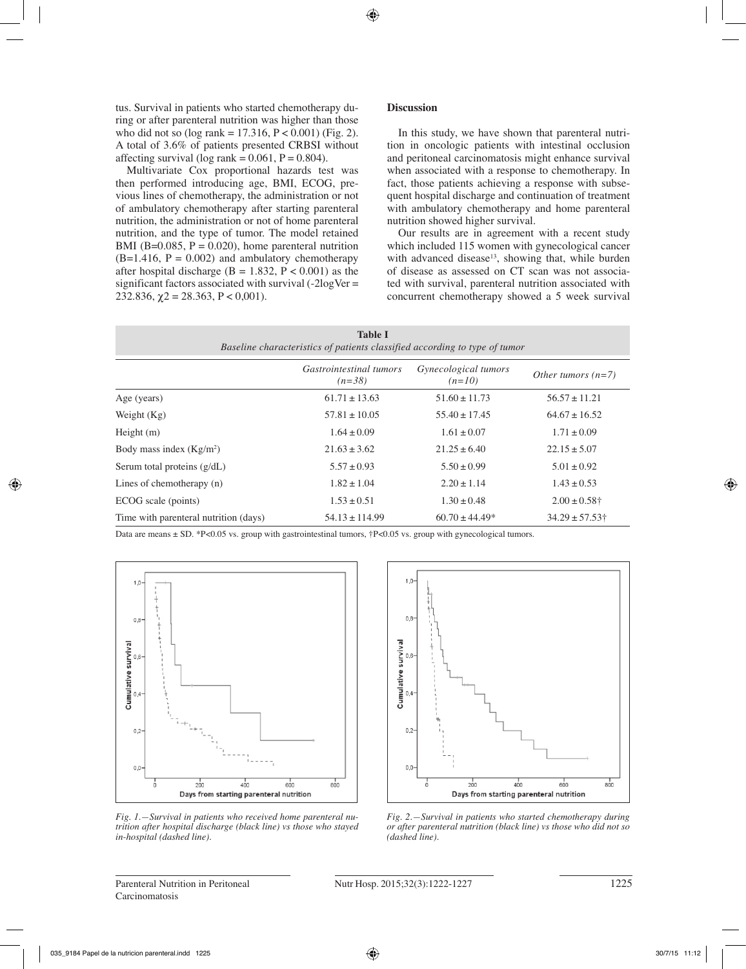tus. Survival in patients who started chemotherapy during or after parenteral nutrition was higher than those who did not so (log rank =  $17.316$ ,  $P < 0.001$ ) (Fig. 2). A total of 3.6% of patients presented CRBSI without affecting survival (log rank =  $0.061$ , P =  $0.804$ ).

Multivariate Cox proportional hazards test was then performed introducing age, BMI, ECOG, previous lines of chemotherapy, the administration or not of ambulatory chemotherapy after starting parenteral nutrition, the administration or not of home parenteral nutrition, and the type of tumor. The model retained BMI (B=0.085,  $P = 0.020$ ), home parenteral nutrition  $(B=1.416, P = 0.002)$  and ambulatory chemotherapy after hospital discharge (B = 1.832, P < 0.001) as the significant factors associated with survival  $(-2logVer =$ 232.836,  $\gamma$ 2 = 28.363, P < 0,001).

# **Discussion**

In this study, we have shown that parenteral nutrition in oncologic patients with intestinal occlusion and peritoneal carcinomatosis might enhance survival when associated with a response to chemotherapy. In fact, those patients achieving a response with subsequent hospital discharge and continuation of treatment with ambulatory chemotherapy and home parenteral nutrition showed higher survival.

Our results are in agreement with a recent study which included 115 women with gynecological cancer with advanced disease<sup>13</sup>, showing that, while burden of disease as assessed on CT scan was not associated with survival, parenteral nutrition associated with concurrent chemotherapy showed a 5 week survival

| <b>Table I</b><br>Baseline characteristics of patients classified according to type of tumor |                                            |                                  |                      |
|----------------------------------------------------------------------------------------------|--------------------------------------------|----------------------------------|----------------------|
|                                                                                              | <i>Gastrointestinal tumors</i><br>$(n=38)$ | Gynecological tumors<br>$(n=10)$ | Other tumors $(n=7)$ |
| Age (years)                                                                                  | $61.71 \pm 13.63$                          | $51.60 \pm 11.73$                | $56.57 \pm 11.21$    |
| Weight $(Kg)$                                                                                | $57.81 \pm 10.05$                          | $55.40 \pm 17.45$                | $64.67 \pm 16.52$    |
| Height $(m)$                                                                                 | $1.64 \pm 0.09$                            | $1.61 \pm 0.07$                  | $1.71 \pm 0.09$      |
| Body mass index $(Kg/m2)$                                                                    | $21.63 \pm 3.62$                           | $21.25 \pm 6.40$                 | $22.15 \pm 5.07$     |
| Serum total proteins $(g/dL)$                                                                | $5.57 \pm 0.93$                            | $5.50 \pm 0.99$                  | $5.01 \pm 0.92$      |
| Lines of chemotherapy (n)                                                                    | $1.82 \pm 1.04$                            | $2.20 \pm 1.14$                  | $1.43 \pm 0.53$      |
| ECOG scale (points)                                                                          | $1.53 \pm 0.51$                            | $1.30 \pm 0.48$                  | $2.00 \pm 0.58$ †    |
| Time with parenteral nutrition (days)                                                        | $54.13 \pm 114.99$                         | $60.70 \pm 44.49*$               | $34.29 \pm 57.53$    |

Data are means ± SD. \*P<0.05 vs. group with gastrointestinal tumors, †P<0.05 vs. group with gynecological tumors.



*Fig. 1.—Survival in patients who received home parenteral nutrition after hospital discharge (black line) vs those who stayed in-hospital (dashed line).*



*Fig. 2.—Survival in patients who started chemotherapy during or after parenteral nutrition (black line) vs those who did not so (dashed line).*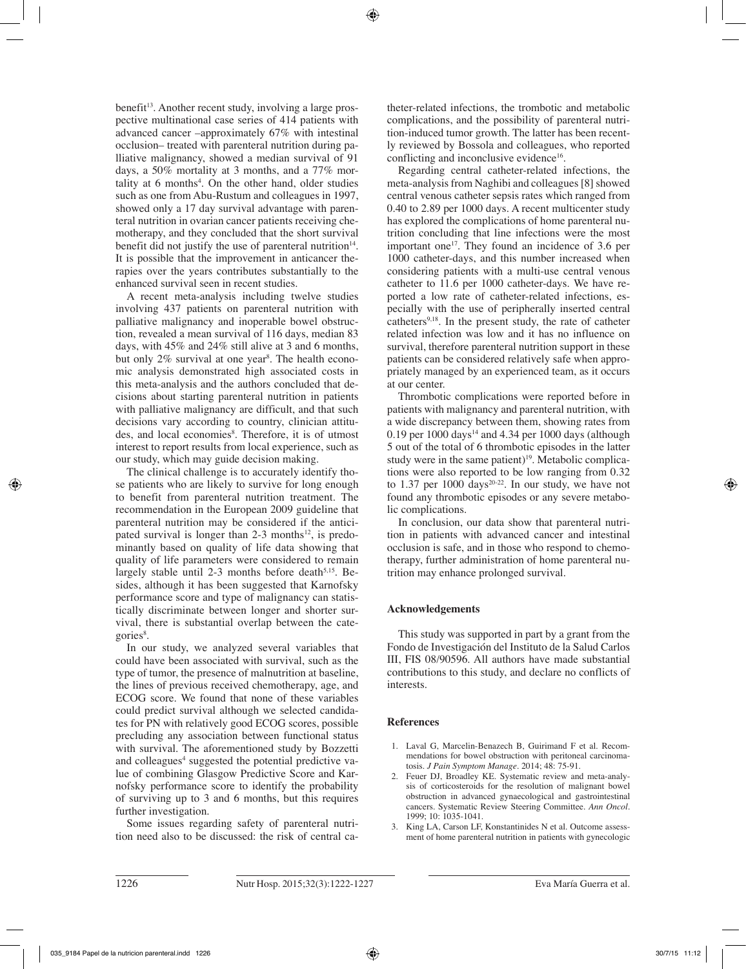benefit<sup>13</sup>. Another recent study, involving a large prospective multinational case series of 414 patients with advanced cancer –approximately 67% with intestinal occlusion– treated with parenteral nutrition during palliative malignancy, showed a median survival of 91 days, a 50% mortality at 3 months, and a 77% mortality at 6 months<sup>4</sup>. On the other hand, older studies such as one from Abu-Rustum and colleagues in 1997, showed only a 17 day survival advantage with parenteral nutrition in ovarian cancer patients receiving chemotherapy, and they concluded that the short survival benefit did not justify the use of parenteral nutrition $14$ . It is possible that the improvement in anticancer therapies over the years contributes substantially to the enhanced survival seen in recent studies.

A recent meta-analysis including twelve studies involving 437 patients on parenteral nutrition with palliative malignancy and inoperable bowel obstruction, revealed a mean survival of 116 days, median 83 days, with 45% and 24% still alive at 3 and 6 months, but only 2% survival at one year<sup>8</sup>. The health economic analysis demonstrated high associated costs in this meta-analysis and the authors concluded that decisions about starting parenteral nutrition in patients with palliative malignancy are difficult, and that such decisions vary according to country, clinician attitudes, and local economies<sup>8</sup>. Therefore, it is of utmost interest to report results from local experience, such as our study, which may guide decision making.

The clinical challenge is to accurately identify those patients who are likely to survive for long enough to benefit from parenteral nutrition treatment. The recommendation in the European 2009 guideline that parenteral nutrition may be considered if the anticipated survival is longer than  $2-3$  months<sup>12</sup>, is predominantly based on quality of life data showing that quality of life parameters were considered to remain largely stable until 2-3 months before death $5,15$ . Besides, although it has been suggested that Karnofsky performance score and type of malignancy can statistically discriminate between longer and shorter survival, there is substantial overlap between the categories<sup>8</sup>.

In our study, we analyzed several variables that could have been associated with survival, such as the type of tumor, the presence of malnutrition at baseline, the lines of previous received chemotherapy, age, and ECOG score. We found that none of these variables could predict survival although we selected candidates for PN with relatively good ECOG scores, possible precluding any association between functional status with survival. The aforementioned study by Bozzetti and colleagues<sup>4</sup> suggested the potential predictive value of combining Glasgow Predictive Score and Karnofsky performance score to identify the probability of surviving up to 3 and 6 months, but this requires further investigation.

Some issues regarding safety of parenteral nutrition need also to be discussed: the risk of central catheter-related infections, the trombotic and metabolic complications, and the possibility of parenteral nutrition-induced tumor growth. The latter has been recently reviewed by Bossola and colleagues, who reported conflicting and inconclusive evidence<sup>16</sup>.

Regarding central catheter-related infections, the meta-analysis from Naghibi and colleagues [8] showed central venous catheter sepsis rates which ranged from 0.40 to 2.89 per 1000 days. A recent multicenter study has explored the complications of home parenteral nutrition concluding that line infections were the most important one<sup>17</sup>. They found an incidence of  $3.6$  per 1000 catheter-days, and this number increased when considering patients with a multi-use central venous catheter to 11.6 per 1000 catheter-days. We have reported a low rate of catheter-related infections, especially with the use of peripherally inserted central catheters<sup>9,18</sup>. In the present study, the rate of catheter related infection was low and it has no influence on survival, therefore parenteral nutrition support in these patients can be considered relatively safe when appropriately managed by an experienced team, as it occurs at our center.

Thrombotic complications were reported before in patients with malignancy and parenteral nutrition, with a wide discrepancy between them, showing rates from 0.19 per  $1000 \text{ days}^{14}$  and 4.34 per  $1000 \text{ days}$  (although 5 out of the total of 6 thrombotic episodes in the latter study were in the same patient) $19$ . Metabolic complications were also reported to be low ranging from 0.32 to 1.37 per 1000 days<sup>20-22</sup>. In our study, we have not found any thrombotic episodes or any severe metabolic complications.

In conclusion, our data show that parenteral nutrition in patients with advanced cancer and intestinal occlusion is safe, and in those who respond to chemotherapy, further administration of home parenteral nutrition may enhance prolonged survival.

# **Acknowledgements**

This study was supported in part by a grant from the Fondo de Investigación del Instituto de la Salud Carlos III, FIS 08/90596. All authors have made substantial contributions to this study, and declare no conflicts of interests.

## **References**

- 1. Laval G, Marcelin-Benazech B, Guirimand F et al. Recommendations for bowel obstruction with peritoneal carcinomatosis. *J Pain Symptom Manage.* 2014; 48: 75-91.
- 2. Feuer DJ, Broadley KE. Systematic review and meta-analysis of corticosteroids for the resolution of malignant bowel obstruction in advanced gynaecological and gastrointestinal cancers. Systematic Review Steering Committee. *Ann Oncol.* 1999; 10: 1035-1041.
- 3. King LA, Carson LF, Konstantinides N et al. Outcome assessment of home parenteral nutrition in patients with gynecologic